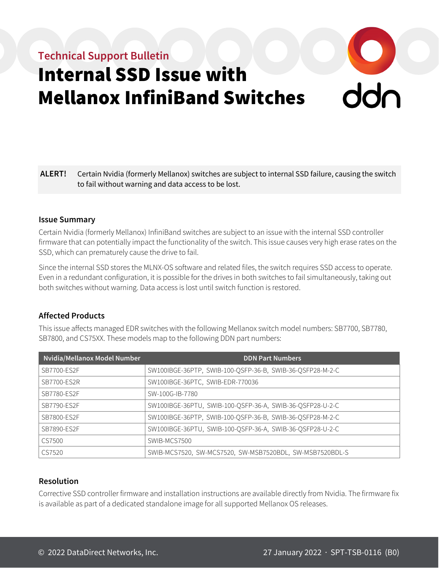# **Technical Support Bulletin**

# Internal SSD Issue with Mellanox InfiniBand Switches

## **ALERT!** Certain Nvidia (formerly Mellanox) switches are subject to internal SSD failure, causing the switch to fail without warning and data access to be lost.

#### **Issue Summary**

Certain Nvidia (formerly Mellanox) InfiniBand switches are subject to an issue with the internal SSD controller firmware that can potentially impact the functionality of the switch. This issue causes very high erase rates on the SSD, which can prematurely cause the drive to fail.

Since the internal SSD stores the MLNX-OS software and related files, the switch requires SSD access to operate. Even in a redundant configuration, it is possible for the drives in both switches to fail simultaneously, taking out both switches without warning. Data access is lost until switch function is restored.

### **Affected Products**

This issue affects managed EDR switches with the following Mellanox switch model numbers: SB7700, SB7780, SB7800, and CS75XX. These models map to the following DDN part numbers:

| Nvidia/Mellanox Model Number | <b>DDN Part Numbers</b>                                   |
|------------------------------|-----------------------------------------------------------|
| SB7700-ES2F                  | SW100IBGE-36PTP, SWIB-100-QSFP-36-B, SWIB-36-QSFP28-M-2-C |
| SB7700-ES2R                  | SW100IBGE-36PTC, SWIB-EDR-770036                          |
| SB7780-ES2F                  | SW-100G-IB-7780                                           |
| SB7790-ES2F                  | SW100IBGE-36PTU, SWIB-100-QSFP-36-A, SWIB-36-QSFP28-U-2-C |
| SB7800-ES2F                  | SW100IBGE-36PTP, SWIB-100-QSFP-36-B, SWIB-36-QSFP28-M-2-C |
| SB7890-ES2F                  | SW100IBGE-36PTU, SWIB-100-QSFP-36-A, SWIB-36-QSFP28-U-2-C |
| CS7500                       | SWIB-MCS7500                                              |
| CS7520                       | SWIB-MCS7520, SW-MCS7520, SW-MSB7520BDL, SW-MSB7520BDL-S  |

#### **Resolution**

Corrective SSD controller firmware and installation instructions are available directly from Nvidia. The firmware fix is available as part of a dedicated standalone image for all supported Mellanox OS releases.

**O**